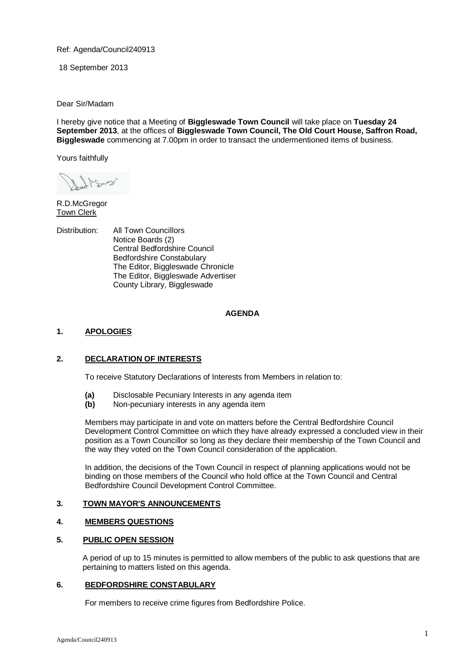Ref: Agenda/Council240913

18 September 2013

Dear Sir/Madam

I hereby give notice that a Meeting of **Biggleswade Town Council** will take place on **Tuesday 24 September 2013**, at the offices of **Biggleswade Town Council, The Old Court House, Saffron Road, Biggleswade** commencing at 7.00pm in order to transact the undermentioned items of business.

Yours faithfully

R.D.McGregor Town Clerk

Distribution: All Town Councillors Notice Boards (2) Central Bedfordshire Council Bedfordshire Constabulary The Editor, Biggleswade Chronicle The Editor, Biggleswade Advertiser County Library, Biggleswade

## **AGENDA**

## **1. APOLOGIES**

## **2. DECLARATION OF INTERESTS**

To receive Statutory Declarations of Interests from Members in relation to:

- **(a)** Disclosable Pecuniary Interests in any agenda item
- **(b)** Non-pecuniary interests in any agenda item

Members may participate in and vote on matters before the Central Bedfordshire Council Development Control Committee on which they have already expressed a concluded view in their position as a Town Councillor so long as they declare their membership of the Town Council and the way they voted on the Town Council consideration of the application.

In addition, the decisions of the Town Council in respect of planning applications would not be binding on those members of the Council who hold office at the Town Council and Central Bedfordshire Council Development Control Committee.

## **3. TOWN MAYOR'S ANNOUNCEMENTS**

# **4. MEMBERS QUESTIONS**

# **5. PUBLIC OPEN SESSION**

A period of up to 15 minutes is permitted to allow members of the public to ask questions that are pertaining to matters listed on this agenda.

## **6. BEDFORDSHIRE CONSTABULARY**

For members to receive crime figures from Bedfordshire Police.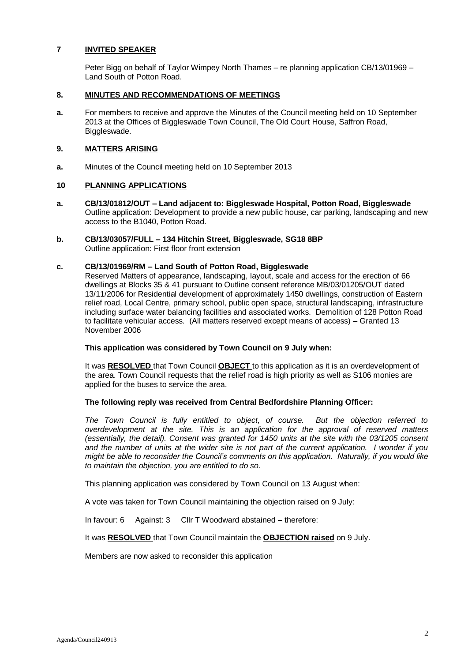## **7 INVITED SPEAKER**

Peter Bigg on behalf of Taylor Wimpey North Thames – re planning application CB/13/01969 – Land South of Potton Road.

### **8. MINUTES AND RECOMMENDATIONS OF MEETINGS**

**a.** For members to receive and approve the Minutes of the Council meeting held on 10 September 2013 at the Offices of Biggleswade Town Council, The Old Court House, Saffron Road, Biggleswade.

## **9. MATTERS ARISING**

**a.** Minutes of the Council meeting held on 10 September 2013

## **10 PLANNING APPLICATIONS**

- **a. CB/13/01812/OUT – Land adjacent to: Biggleswade Hospital, Potton Road, Biggleswade** Outline application: Development to provide a new public house, car parking, landscaping and new access to the B1040, Potton Road.
- **b. CB/13/03057/FULL – 134 Hitchin Street, Biggleswade, SG18 8BP** Outline application: First floor front extension

#### **c. CB/13/01969/RM – Land South of Potton Road, Biggleswade**

Reserved Matters of appearance, landscaping, layout, scale and access for the erection of 66 dwellings at Blocks 35 & 41 pursuant to Outline consent reference MB/03/01205/OUT dated 13/11/2006 for Residential development of approximately 1450 dwellings, construction of Eastern relief road, Local Centre, primary school, public open space, structural landscaping, infrastructure including surface water balancing facilities and associated works. Demolition of 128 Potton Road to facilitate vehicular access. (All matters reserved except means of access) – Granted 13 November 2006

### **This application was considered by Town Council on 9 July when:**

It was **RESOLVED** that Town Council **OBJECT** to this application as it is an overdevelopment of the area. Town Council requests that the relief road is high priority as well as S106 monies are applied for the buses to service the area.

## **The following reply was received from Central Bedfordshire Planning Officer:**

*The Town Council is fully entitled to object, of course. But the objection referred to overdevelopment at the site. This is an application for the approval of reserved matters (essentially, the detail). Consent was granted for 1450 units at the site with the 03/1205 consent and the number of units at the wider site is not part of the current application. I wonder if you might be able to reconsider the Council's comments on this application. Naturally, if you would like to maintain the objection, you are entitled to do so.*

This planning application was considered by Town Council on 13 August when:

A vote was taken for Town Council maintaining the objection raised on 9 July:

In favour: 6 Against: 3 Cllr T Woodward abstained – therefore:

It was **RESOLVED** that Town Council maintain the **OBJECTION raised** on 9 July.

Members are now asked to reconsider this application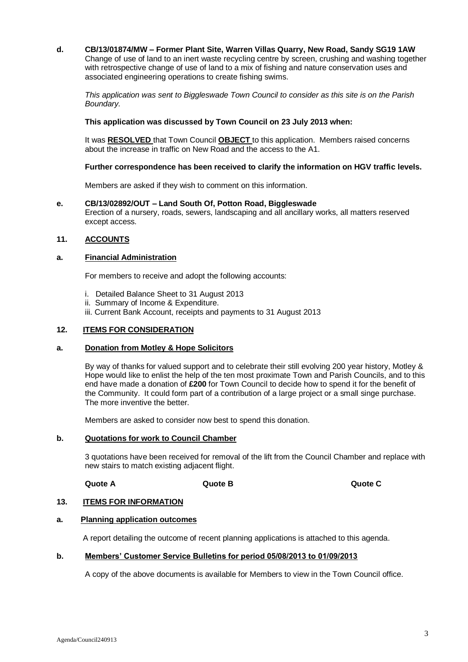**d. CB/13/01874/MW – Former Plant Site, Warren Villas Quarry, New Road, Sandy SG19 1AW** Change of use of land to an inert waste recycling centre by screen, crushing and washing together with retrospective change of use of land to a mix of fishing and nature conservation uses and associated engineering operations to create fishing swims.

*This application was sent to Biggleswade Town Council to consider as this site is on the Parish Boundary.*

### **This application was discussed by Town Council on 23 July 2013 when:**

It was **RESOLVED** that Town Council **OBJECT** to this application. Members raised concerns about the increase in traffic on New Road and the access to the A1.

#### **Further correspondence has been received to clarify the information on HGV traffic levels.**

Members are asked if they wish to comment on this information.

#### **e. CB/13/02892/OUT – Land South Of, Potton Road, Biggleswade**

Erection of a nursery, roads, sewers, landscaping and all ancillary works, all matters reserved except access.

## **11. ACCOUNTS**

### **a. Financial Administration**

For members to receive and adopt the following accounts:

- i. Detailed Balance Sheet to 31 August 2013
- ii. Summary of Income & Expenditure.
- iii. Current Bank Account, receipts and payments to 31 August 2013

### **12. ITEMS FOR CONSIDERATION**

### **a. Donation from Motley & Hope Solicitors**

By way of thanks for valued support and to celebrate their still evolving 200 year history, Motley & Hope would like to enlist the help of the ten most proximate Town and Parish Councils, and to this end have made a donation of **£200** for Town Council to decide how to spend it for the benefit of the Community. It could form part of a contribution of a large project or a small singe purchase. The more inventive the better.

Members are asked to consider now best to spend this donation.

#### **b. Quotations for work to Council Chamber**

3 quotations have been received for removal of the lift from the Council Chamber and replace with new stairs to match existing adjacent flight.

**Quote A Quote B Quote C**

#### **13. ITEMS FOR INFORMATION**

### **a. Planning application outcomes**

A report detailing the outcome of recent planning applications is attached to this agenda.

#### **b. Members' Customer Service Bulletins for period 05/08/2013 to 01/09/2013**

A copy of the above documents is available for Members to view in the Town Council office.